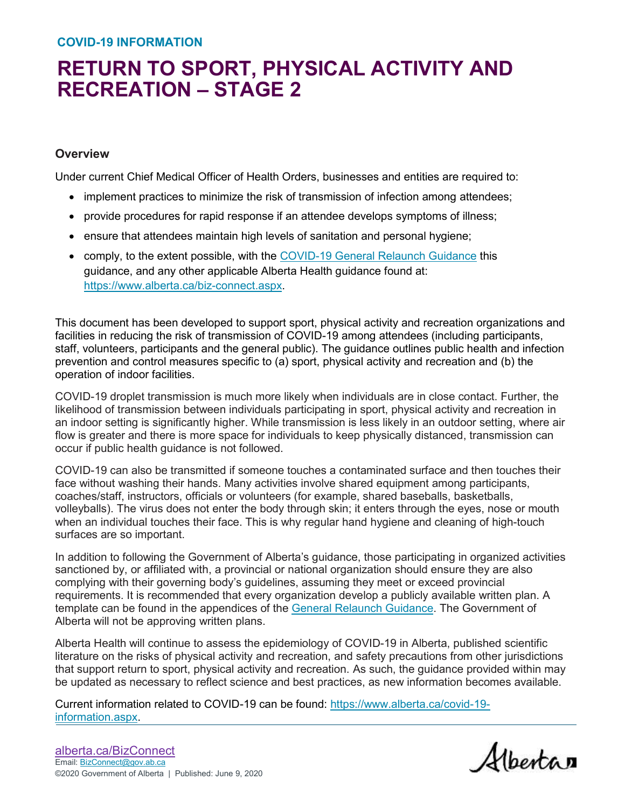#### **COVID-19 INFORMATION**

# **RETURN TO SPORT, PHYSICAL ACTIVITY AND RECREATION – STAGE 2**

#### **Overview**

Under current Chief Medical Officer of Health Orders, businesses and entities are required to:

- implement practices to minimize the risk of transmission of infection among attendees;
- provide procedures for rapid response if an attendee develops symptoms of illness;
- ensure that attendees maintain high levels of sanitation and personal hygiene;
- comply, to the extent possible, with the [COVID-19 General Relaunch Guidance](https://www.alberta.ca/assets/documents/covid-19-workplace-guidance-for-business-owners.pdf) this guidance, and any other applicable Alberta Health guidance found at: [https://www.alberta.ca/biz-connect.aspx.](https://www.alberta.ca/biz-connect.aspx)

This document has been developed to support sport, physical activity and recreation organizations and facilities in reducing the risk of transmission of COVID-19 among attendees (including participants, staff, volunteers, participants and the general public). The guidance outlines public health and infection prevention and control measures specific to (a) sport, physical activity and recreation and (b) the operation of indoor facilities.

COVID-19 droplet transmission is much more likely when individuals are in close contact. Further, the likelihood of transmission between individuals participating in sport, physical activity and recreation in an indoor setting is significantly higher. While transmission is less likely in an outdoor setting, where air flow is greater and there is more space for individuals to keep physically distanced, transmission can occur if public health guidance is not followed.

COVID-19 can also be transmitted if someone touches a contaminated surface and then touches their face without washing their hands. Many activities involve shared equipment among participants, coaches/staff, instructors, officials or volunteers (for example, shared baseballs, basketballs, volleyballs). The virus does not enter the body through skin; it enters through the eyes, nose or mouth when an individual touches their face. This is why regular hand hygiene and cleaning of high-touch surfaces are so important.

In addition to following the Government of Alberta's guidance, those participating in organized activities sanctioned by, or affiliated with, a provincial or national organization should ensure they are also complying with their governing body's guidelines, assuming they meet or exceed provincial requirements. It is recommended that every organization develop a publicly available written plan. A template can be found in the appendices of the [General Relaunch Guidance.](https://www.alberta.ca/assets/documents/covid-19-workplace-guidance-for-business-owners.pdf) The Government of Alberta will not be approving written plans.

Alberta Health will continue to assess the epidemiology of COVID-19 in Alberta, published scientific literature on the risks of physical activity and recreation, and safety precautions from other jurisdictions that support return to sport, physical activity and recreation. As such, the guidance provided within may be updated as necessary to reflect science and best practices, as new information becomes available.

Current information related to COVID-19 can be found: [https://www.alberta.ca/covid-19](https://www.alberta.ca/covid-19-information.aspx) [information.aspx.](https://www.alberta.ca/covid-19-information.aspx)

Albertan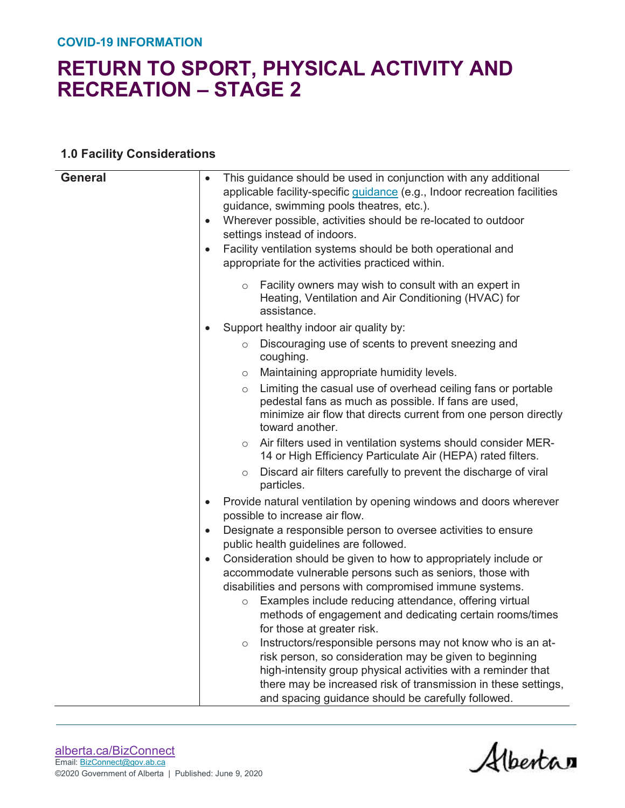#### **COVID-19 INFORMATION**

## **RETURN TO SPORT, PHYSICAL ACTIVITY AND RECREATION – STAGE 2**

#### **1.0 Facility Considerations**

| <b>General</b> | This guidance should be used in conjunction with any additional<br>applicable facility-specific quidance (e.g., Indoor recreation facilities<br>guidance, swimming pools theatres, etc.).<br>Wherever possible, activities should be re-located to outdoor<br>$\bullet$<br>settings instead of indoors.<br>Facility ventilation systems should be both operational and<br>$\bullet$<br>appropriate for the activities practiced within. |
|----------------|-----------------------------------------------------------------------------------------------------------------------------------------------------------------------------------------------------------------------------------------------------------------------------------------------------------------------------------------------------------------------------------------------------------------------------------------|
|                | Facility owners may wish to consult with an expert in<br>$\circ$<br>Heating, Ventilation and Air Conditioning (HVAC) for<br>assistance.                                                                                                                                                                                                                                                                                                 |
|                | Support healthy indoor air quality by:                                                                                                                                                                                                                                                                                                                                                                                                  |
|                | Discouraging use of scents to prevent sneezing and<br>$\circ$<br>coughing.                                                                                                                                                                                                                                                                                                                                                              |
|                | Maintaining appropriate humidity levels.<br>$\circ$                                                                                                                                                                                                                                                                                                                                                                                     |
|                | Limiting the casual use of overhead ceiling fans or portable<br>$\circ$<br>pedestal fans as much as possible. If fans are used,<br>minimize air flow that directs current from one person directly<br>toward another.                                                                                                                                                                                                                   |
|                | Air filters used in ventilation systems should consider MER-<br>$\circ$<br>14 or High Efficiency Particulate Air (HEPA) rated filters.                                                                                                                                                                                                                                                                                                  |
|                | Discard air filters carefully to prevent the discharge of viral<br>$\circ$<br>particles.                                                                                                                                                                                                                                                                                                                                                |
|                | Provide natural ventilation by opening windows and doors wherever<br>$\bullet$<br>possible to increase air flow.                                                                                                                                                                                                                                                                                                                        |
|                | Designate a responsible person to oversee activities to ensure<br>$\bullet$<br>public health guidelines are followed.                                                                                                                                                                                                                                                                                                                   |
|                | Consideration should be given to how to appropriately include or<br>$\bullet$                                                                                                                                                                                                                                                                                                                                                           |
|                | accommodate vulnerable persons such as seniors, those with                                                                                                                                                                                                                                                                                                                                                                              |
|                | disabilities and persons with compromised immune systems.                                                                                                                                                                                                                                                                                                                                                                               |
|                | Examples include reducing attendance, offering virtual<br>$\circ$                                                                                                                                                                                                                                                                                                                                                                       |
|                | methods of engagement and dedicating certain rooms/times                                                                                                                                                                                                                                                                                                                                                                                |
|                | for those at greater risk.<br>Instructors/responsible persons may not know who is an at-                                                                                                                                                                                                                                                                                                                                                |
|                | $\circ$<br>risk person, so consideration may be given to beginning                                                                                                                                                                                                                                                                                                                                                                      |
|                | high-intensity group physical activities with a reminder that                                                                                                                                                                                                                                                                                                                                                                           |
|                | there may be increased risk of transmission in these settings,                                                                                                                                                                                                                                                                                                                                                                          |
|                | and spacing guidance should be carefully followed.                                                                                                                                                                                                                                                                                                                                                                                      |

Albertan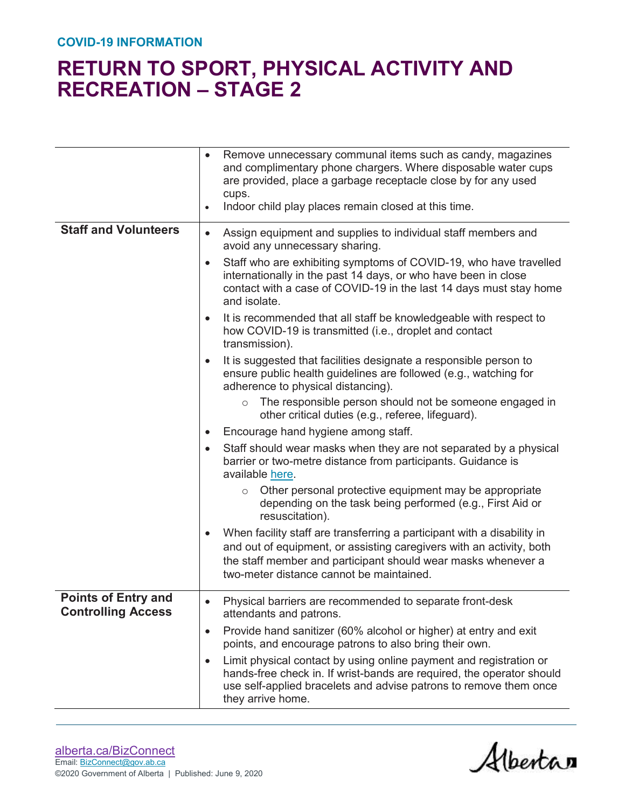|                                                         | $\bullet$ | Remove unnecessary communal items such as candy, magazines<br>and complimentary phone chargers. Where disposable water cups<br>are provided, place a garbage receptacle close by for any used<br>cups.<br>Indoor child play places remain closed at this time. |
|---------------------------------------------------------|-----------|----------------------------------------------------------------------------------------------------------------------------------------------------------------------------------------------------------------------------------------------------------------|
| <b>Staff and Volunteers</b>                             | $\bullet$ | Assign equipment and supplies to individual staff members and<br>avoid any unnecessary sharing.                                                                                                                                                                |
|                                                         | $\bullet$ | Staff who are exhibiting symptoms of COVID-19, who have travelled<br>internationally in the past 14 days, or who have been in close<br>contact with a case of COVID-19 in the last 14 days must stay home<br>and isolate.                                      |
|                                                         | $\bullet$ | It is recommended that all staff be knowledgeable with respect to<br>how COVID-19 is transmitted (i.e., droplet and contact<br>transmission).                                                                                                                  |
|                                                         | $\bullet$ | It is suggested that facilities designate a responsible person to<br>ensure public health guidelines are followed (e.g., watching for<br>adherence to physical distancing).                                                                                    |
|                                                         |           | The responsible person should not be someone engaged in<br>$\circ$<br>other critical duties (e.g., referee, lifeguard).                                                                                                                                        |
|                                                         | $\bullet$ | Encourage hand hygiene among staff.                                                                                                                                                                                                                            |
|                                                         |           | Staff should wear masks when they are not separated by a physical<br>barrier or two-metre distance from participants. Guidance is<br>available here.                                                                                                           |
|                                                         |           | Other personal protective equipment may be appropriate<br>$\circ$<br>depending on the task being performed (e.g., First Aid or<br>resuscitation).                                                                                                              |
|                                                         |           | When facility staff are transferring a participant with a disability in<br>and out of equipment, or assisting caregivers with an activity, both<br>the staff member and participant should wear masks whenever a<br>two-meter distance cannot be maintained.   |
| <b>Points of Entry and</b><br><b>Controlling Access</b> |           | Physical barriers are recommended to separate front-desk<br>attendants and patrons.                                                                                                                                                                            |
|                                                         | $\bullet$ | Provide hand sanitizer (60% alcohol or higher) at entry and exit<br>points, and encourage patrons to also bring their own.                                                                                                                                     |
|                                                         |           | Limit physical contact by using online payment and registration or<br>hands-free check in. If wrist-bands are required, the operator should<br>use self-applied bracelets and advise patrons to remove them once<br>they arrive home.                          |

Albertan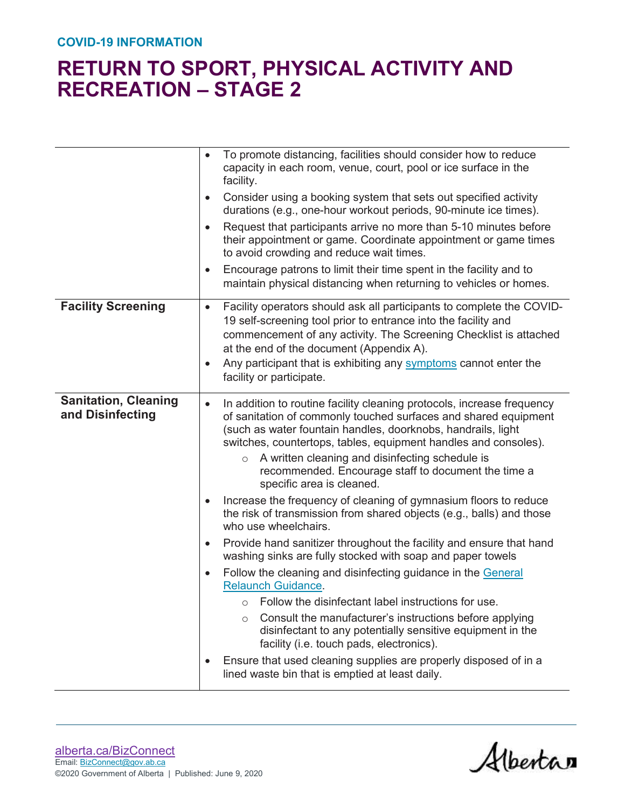|                                                 | To promote distancing, facilities should consider how to reduce<br>capacity in each room, venue, court, pool or ice surface in the<br>facility.                                                                                                                                                                                                                                                                                             |
|-------------------------------------------------|---------------------------------------------------------------------------------------------------------------------------------------------------------------------------------------------------------------------------------------------------------------------------------------------------------------------------------------------------------------------------------------------------------------------------------------------|
|                                                 | Consider using a booking system that sets out specified activity<br>$\bullet$<br>durations (e.g., one-hour workout periods, 90-minute ice times).                                                                                                                                                                                                                                                                                           |
|                                                 | Request that participants arrive no more than 5-10 minutes before<br>$\bullet$<br>their appointment or game. Coordinate appointment or game times<br>to avoid crowding and reduce wait times.                                                                                                                                                                                                                                               |
|                                                 | Encourage patrons to limit their time spent in the facility and to<br>$\bullet$<br>maintain physical distancing when returning to vehicles or homes.                                                                                                                                                                                                                                                                                        |
| <b>Facility Screening</b>                       | Facility operators should ask all participants to complete the COVID-<br>$\bullet$<br>19 self-screening tool prior to entrance into the facility and<br>commencement of any activity. The Screening Checklist is attached<br>at the end of the document (Appendix A).<br>Any participant that is exhibiting any symptoms cannot enter the<br>$\bullet$<br>facility or participate.                                                          |
| <b>Sanitation, Cleaning</b><br>and Disinfecting | In addition to routine facility cleaning protocols, increase frequency<br>$\bullet$<br>of sanitation of commonly touched surfaces and shared equipment<br>(such as water fountain handles, doorknobs, handrails, light<br>switches, countertops, tables, equipment handles and consoles).<br>A written cleaning and disinfecting schedule is<br>$\circ$<br>recommended. Encourage staff to document the time a<br>specific area is cleaned. |
|                                                 | Increase the frequency of cleaning of gymnasium floors to reduce<br>the risk of transmission from shared objects (e.g., balls) and those<br>who use wheelchairs.                                                                                                                                                                                                                                                                            |
|                                                 | Provide hand sanitizer throughout the facility and ensure that hand<br>$\bullet$<br>washing sinks are fully stocked with soap and paper towels                                                                                                                                                                                                                                                                                              |
|                                                 | Follow the cleaning and disinfecting guidance in the General<br><b>Relaunch Guidance.</b><br>Follow the disinfectant label instructions for use.<br>Consult the manufacturer's instructions before applying<br>$\circ$<br>disinfectant to any potentially sensitive equipment in the<br>facility (i.e. touch pads, electronics).                                                                                                            |
|                                                 | Ensure that used cleaning supplies are properly disposed of in a<br>lined waste bin that is emptied at least daily.                                                                                                                                                                                                                                                                                                                         |

Albertan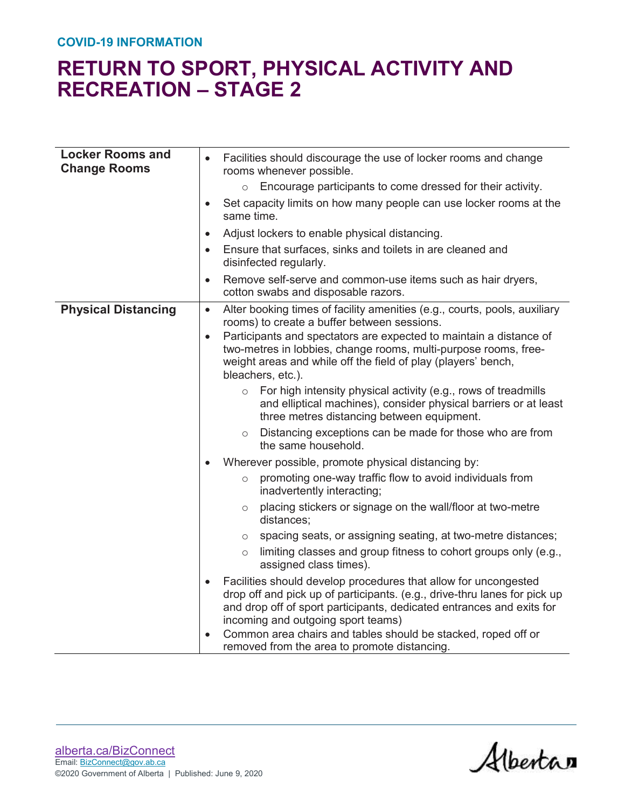| <b>Locker Rooms and</b><br><b>Change Rooms</b> | Facilities should discourage the use of locker rooms and change<br>rooms whenever possible.                                                                                                                                                                 |
|------------------------------------------------|-------------------------------------------------------------------------------------------------------------------------------------------------------------------------------------------------------------------------------------------------------------|
|                                                | Encourage participants to come dressed for their activity.<br>$\circ$                                                                                                                                                                                       |
|                                                | Set capacity limits on how many people can use locker rooms at the<br>$\bullet$<br>same time.                                                                                                                                                               |
|                                                | Adjust lockers to enable physical distancing.<br>$\bullet$                                                                                                                                                                                                  |
|                                                | Ensure that surfaces, sinks and toilets in are cleaned and<br>$\bullet$<br>disinfected regularly.                                                                                                                                                           |
|                                                | Remove self-serve and common-use items such as hair dryers,<br>$\bullet$<br>cotton swabs and disposable razors.                                                                                                                                             |
| <b>Physical Distancing</b>                     | Alter booking times of facility amenities (e.g., courts, pools, auxiliary<br>$\bullet$<br>rooms) to create a buffer between sessions.                                                                                                                       |
|                                                | Participants and spectators are expected to maintain a distance of<br>$\bullet$<br>two-metres in lobbies, change rooms, multi-purpose rooms, free-<br>weight areas and while off the field of play (players' bench,<br>bleachers, etc.).                    |
|                                                | For high intensity physical activity (e.g., rows of treadmills<br>$\circ$<br>and elliptical machines), consider physical barriers or at least<br>three metres distancing between equipment.                                                                 |
|                                                | Distancing exceptions can be made for those who are from<br>$\circ$<br>the same household.                                                                                                                                                                  |
|                                                | Wherever possible, promote physical distancing by:                                                                                                                                                                                                          |
|                                                | promoting one-way traffic flow to avoid individuals from<br>$\circ$<br>inadvertently interacting;                                                                                                                                                           |
|                                                | placing stickers or signage on the wall/floor at two-metre<br>$\circ$<br>distances;                                                                                                                                                                         |
|                                                | spacing seats, or assigning seating, at two-metre distances;<br>$\circ$                                                                                                                                                                                     |
|                                                | limiting classes and group fitness to cohort groups only (e.g.,<br>$\circ$<br>assigned class times).                                                                                                                                                        |
|                                                | Facilities should develop procedures that allow for uncongested<br>drop off and pick up of participants. (e.g., drive-thru lanes for pick up<br>and drop off of sport participants, dedicated entrances and exits for<br>incoming and outgoing sport teams) |
|                                                | Common area chairs and tables should be stacked, roped off or<br>removed from the area to promote distancing.                                                                                                                                               |

Albertan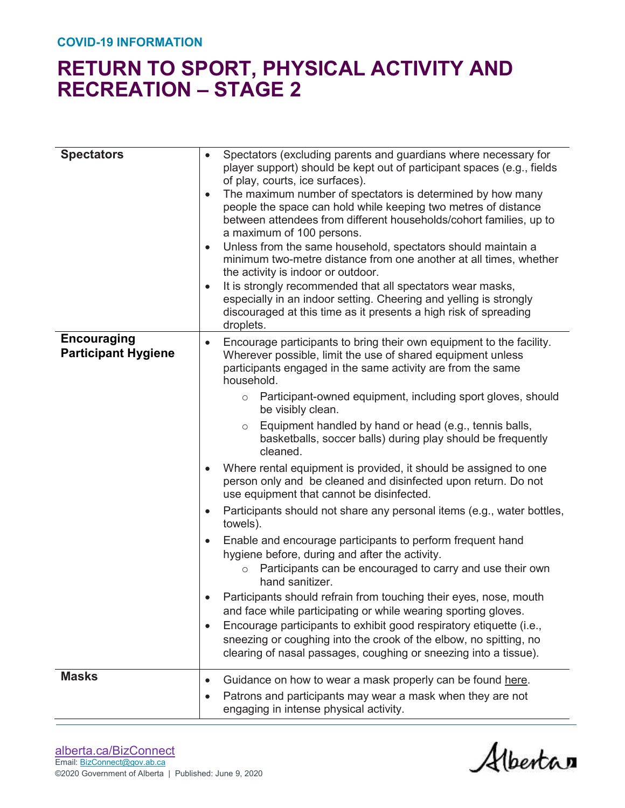| <b>Spectators</b>                                | Spectators (excluding parents and guardians where necessary for<br>$\bullet$<br>player support) should be kept out of participant spaces (e.g., fields<br>of play, courts, ice surfaces).<br>The maximum number of spectators is determined by how many<br>$\bullet$<br>people the space can hold while keeping two metres of distance<br>between attendees from different households/cohort families, up to<br>a maximum of 100 persons.<br>Unless from the same household, spectators should maintain a<br>$\bullet$<br>minimum two-metre distance from one another at all times, whether<br>the activity is indoor or outdoor.<br>It is strongly recommended that all spectators wear masks,<br>$\bullet$<br>especially in an indoor setting. Cheering and yelling is strongly<br>discouraged at this time as it presents a high risk of spreading<br>droplets.                                                                                                                                                                                                                                                                                                                                                                                                                                                                                             |
|--------------------------------------------------|----------------------------------------------------------------------------------------------------------------------------------------------------------------------------------------------------------------------------------------------------------------------------------------------------------------------------------------------------------------------------------------------------------------------------------------------------------------------------------------------------------------------------------------------------------------------------------------------------------------------------------------------------------------------------------------------------------------------------------------------------------------------------------------------------------------------------------------------------------------------------------------------------------------------------------------------------------------------------------------------------------------------------------------------------------------------------------------------------------------------------------------------------------------------------------------------------------------------------------------------------------------------------------------------------------------------------------------------------------------|
| <b>Encouraging</b><br><b>Participant Hygiene</b> | Encourage participants to bring their own equipment to the facility.<br>$\bullet$<br>Wherever possible, limit the use of shared equipment unless<br>participants engaged in the same activity are from the same<br>household.<br>Participant-owned equipment, including sport gloves, should<br>$\circ$<br>be visibly clean.<br>Equipment handled by hand or head (e.g., tennis balls,<br>$\circ$<br>basketballs, soccer balls) during play should be frequently<br>cleaned.<br>Where rental equipment is provided, it should be assigned to one<br>person only and be cleaned and disinfected upon return. Do not<br>use equipment that cannot be disinfected.<br>Participants should not share any personal items (e.g., water bottles,<br>$\bullet$<br>towels).<br>Enable and encourage participants to perform frequent hand<br>$\bullet$<br>hygiene before, during and after the activity.<br>Participants can be encouraged to carry and use their own<br>$\circ$<br>hand sanitizer.<br>Participants should refrain from touching their eyes, nose, mouth<br>and face while participating or while wearing sporting gloves.<br>Encourage participants to exhibit good respiratory etiquette (i.e.,<br>$\bullet$<br>sneezing or coughing into the crook of the elbow, no spitting, no<br>clearing of nasal passages, coughing or sneezing into a tissue). |
| <b>Masks</b>                                     | Guidance on how to wear a mask properly can be found here.<br>$\bullet$<br>Patrons and participants may wear a mask when they are not<br>$\bullet$<br>engaging in intense physical activity.                                                                                                                                                                                                                                                                                                                                                                                                                                                                                                                                                                                                                                                                                                                                                                                                                                                                                                                                                                                                                                                                                                                                                                   |

Alberta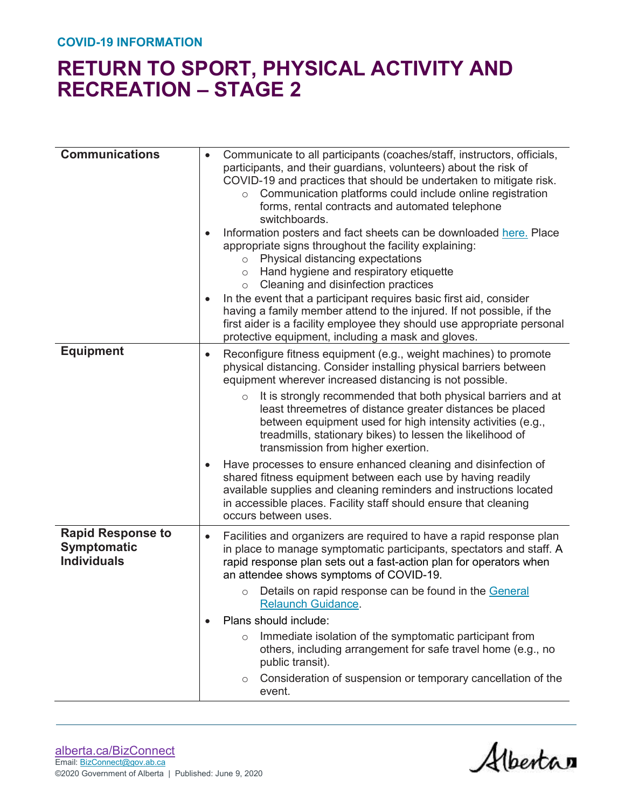| <b>Communications</b>                                                | Communicate to all participants (coaches/staff, instructors, officials,<br>participants, and their guardians, volunteers) about the risk of<br>COVID-19 and practices that should be undertaken to mitigate risk.<br>Communication platforms could include online registration<br>$\circ$<br>forms, rental contracts and automated telephone<br>switchboards.<br>Information posters and fact sheets can be downloaded here. Place<br>appropriate signs throughout the facility explaining:<br>Physical distancing expectations<br>$\circ$<br>Hand hygiene and respiratory etiquette<br>$\circ$<br>Cleaning and disinfection practices<br>$\circ$<br>In the event that a participant requires basic first aid, consider<br>$\bullet$<br>having a family member attend to the injured. If not possible, if the<br>first aider is a facility employee they should use appropriate personal<br>protective equipment, including a mask and gloves. |
|----------------------------------------------------------------------|------------------------------------------------------------------------------------------------------------------------------------------------------------------------------------------------------------------------------------------------------------------------------------------------------------------------------------------------------------------------------------------------------------------------------------------------------------------------------------------------------------------------------------------------------------------------------------------------------------------------------------------------------------------------------------------------------------------------------------------------------------------------------------------------------------------------------------------------------------------------------------------------------------------------------------------------|
| <b>Equipment</b>                                                     | Reconfigure fitness equipment (e.g., weight machines) to promote<br>$\bullet$<br>physical distancing. Consider installing physical barriers between<br>equipment wherever increased distancing is not possible.<br>It is strongly recommended that both physical barriers and at<br>$\circ$<br>least threemetres of distance greater distances be placed                                                                                                                                                                                                                                                                                                                                                                                                                                                                                                                                                                                       |
|                                                                      | between equipment used for high intensity activities (e.g.,<br>treadmills, stationary bikes) to lessen the likelihood of<br>transmission from higher exertion.<br>Have processes to ensure enhanced cleaning and disinfection of<br>$\bullet$<br>shared fitness equipment between each use by having readily                                                                                                                                                                                                                                                                                                                                                                                                                                                                                                                                                                                                                                   |
|                                                                      | available supplies and cleaning reminders and instructions located<br>in accessible places. Facility staff should ensure that cleaning<br>occurs between uses.                                                                                                                                                                                                                                                                                                                                                                                                                                                                                                                                                                                                                                                                                                                                                                                 |
| <b>Rapid Response to</b><br><b>Symptomatic</b><br><b>Individuals</b> | Facilities and organizers are required to have a rapid response plan<br>$\bullet$<br>in place to manage symptomatic participants, spectators and staff. A<br>rapid response plan sets out a fast-action plan for operators when<br>an attendee shows symptoms of COVID-19.<br>Details on rapid response can be found in the General<br>$\circ$<br><u>Relaunch Guidance</u> .                                                                                                                                                                                                                                                                                                                                                                                                                                                                                                                                                                   |
|                                                                      | Plans should include:                                                                                                                                                                                                                                                                                                                                                                                                                                                                                                                                                                                                                                                                                                                                                                                                                                                                                                                          |
|                                                                      | Immediate isolation of the symptomatic participant from<br>$\circ$<br>others, including arrangement for safe travel home (e.g., no<br>public transit).                                                                                                                                                                                                                                                                                                                                                                                                                                                                                                                                                                                                                                                                                                                                                                                         |
|                                                                      | Consideration of suspension or temporary cancellation of the<br>$\circ$<br>event.                                                                                                                                                                                                                                                                                                                                                                                                                                                                                                                                                                                                                                                                                                                                                                                                                                                              |

Albertan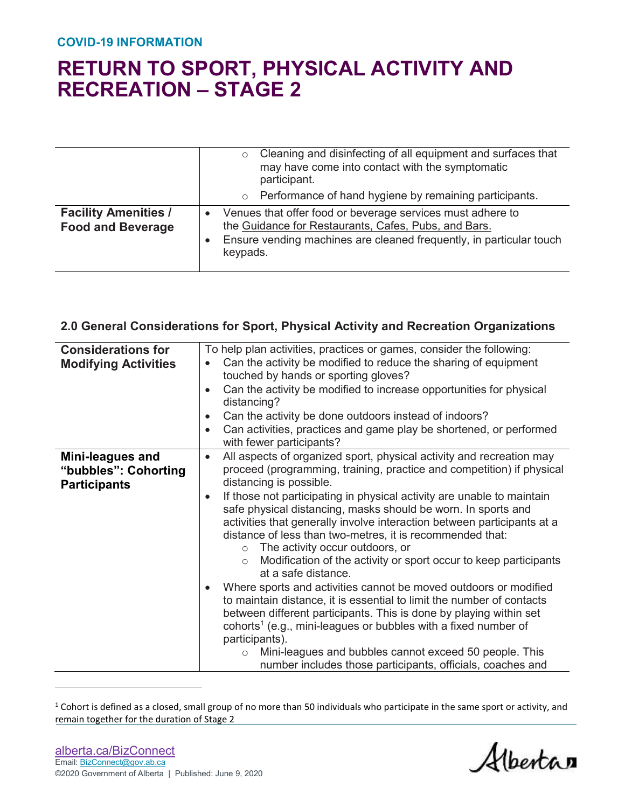|                                                         | Cleaning and disinfecting of all equipment and surfaces that<br>$\circ$<br>may have come into contact with the symptomatic<br>participant.                                                            |
|---------------------------------------------------------|-------------------------------------------------------------------------------------------------------------------------------------------------------------------------------------------------------|
|                                                         | o Performance of hand hygiene by remaining participants.                                                                                                                                              |
| <b>Facility Amenities /</b><br><b>Food and Beverage</b> | Venues that offer food or beverage services must adhere to<br>the Guidance for Restaurants, Cafes, Pubs, and Bars.<br>Ensure vending machines are cleaned frequently, in particular touch<br>keypads. |

#### **2.0 General Considerations for Sport, Physical Activity and Recreation Organizations**

| <b>Considerations for</b><br><b>Modifying Activities</b>        | To help plan activities, practices or games, consider the following:<br>Can the activity be modified to reduce the sharing of equipment<br>$\bullet$<br>touched by hands or sporting gloves?<br>Can the activity be modified to increase opportunities for physical<br>$\bullet$<br>distancing?<br>Can the activity be done outdoors instead of indoors?<br>$\bullet$<br>Can activities, practices and game play be shortened, or performed<br>$\bullet$<br>with fewer participants?                                                                                                                                                                                                                                                                                                                                                                                                                                                                                                                                                                                                            |
|-----------------------------------------------------------------|-------------------------------------------------------------------------------------------------------------------------------------------------------------------------------------------------------------------------------------------------------------------------------------------------------------------------------------------------------------------------------------------------------------------------------------------------------------------------------------------------------------------------------------------------------------------------------------------------------------------------------------------------------------------------------------------------------------------------------------------------------------------------------------------------------------------------------------------------------------------------------------------------------------------------------------------------------------------------------------------------------------------------------------------------------------------------------------------------|
| Mini-leagues and<br>"bubbles": Cohorting<br><b>Participants</b> | All aspects of organized sport, physical activity and recreation may<br>$\bullet$<br>proceed (programming, training, practice and competition) if physical<br>distancing is possible.<br>If those not participating in physical activity are unable to maintain<br>$\bullet$<br>safe physical distancing, masks should be worn. In sports and<br>activities that generally involve interaction between participants at a<br>distance of less than two-metres, it is recommended that:<br>The activity occur outdoors, or<br>$\circ$<br>Modification of the activity or sport occur to keep participants<br>$\circ$<br>at a safe distance.<br>Where sports and activities cannot be moved outdoors or modified<br>to maintain distance, it is essential to limit the number of contacts<br>between different participants. This is done by playing within set<br>cohorts <sup>1</sup> (e.g., mini-leagues or bubbles with a fixed number of<br>participants).<br>Mini-leagues and bubbles cannot exceed 50 people. This<br>$\circ$<br>number includes those participants, officials, coaches and |

 $1$  Cohort is defined as a closed, small group of no more than 50 individuals who participate in the same sport or activity, and remain together for the duration of Stage 2

 $\overline{a}$ 

Albertan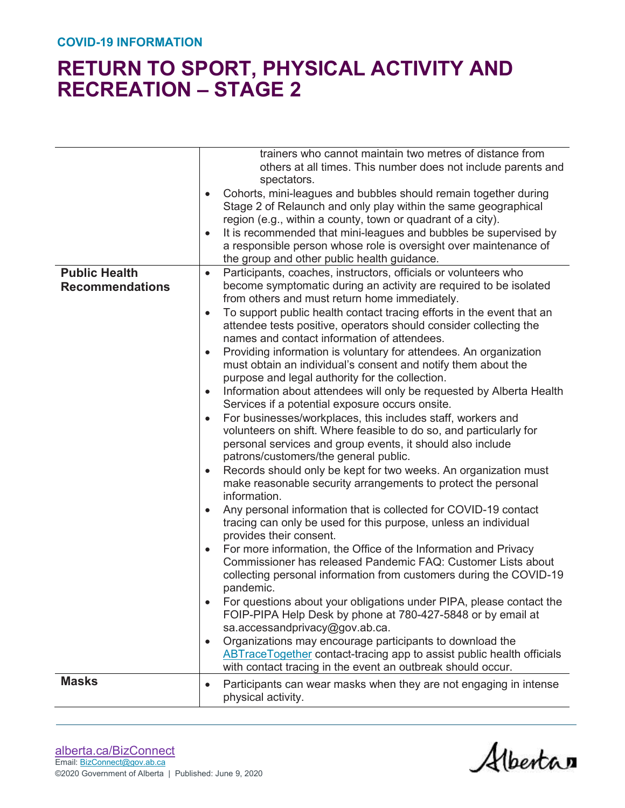|                                                | trainers who cannot maintain two metres of distance from<br>others at all times. This number does not include parents and<br>spectators.<br>Cohorts, mini-leagues and bubbles should remain together during<br>Stage 2 of Relaunch and only play within the same geographical<br>region (e.g., within a county, town or quadrant of a city).<br>It is recommended that mini-leagues and bubbles be supervised by<br>$\bullet$<br>a responsible person whose role is oversight over maintenance of<br>the group and other public health guidance.                                                                                                                                                                                                                                                                                                                                                                                                                                                                                                                                                                                                                                                                                                                                                                                                                                                                                                                                                                                                                                                                                                                                                                                                                                                                                                                                                                                                                                                      |
|------------------------------------------------|-------------------------------------------------------------------------------------------------------------------------------------------------------------------------------------------------------------------------------------------------------------------------------------------------------------------------------------------------------------------------------------------------------------------------------------------------------------------------------------------------------------------------------------------------------------------------------------------------------------------------------------------------------------------------------------------------------------------------------------------------------------------------------------------------------------------------------------------------------------------------------------------------------------------------------------------------------------------------------------------------------------------------------------------------------------------------------------------------------------------------------------------------------------------------------------------------------------------------------------------------------------------------------------------------------------------------------------------------------------------------------------------------------------------------------------------------------------------------------------------------------------------------------------------------------------------------------------------------------------------------------------------------------------------------------------------------------------------------------------------------------------------------------------------------------------------------------------------------------------------------------------------------------------------------------------------------------------------------------------------------------|
| <b>Public Health</b><br><b>Recommendations</b> | Participants, coaches, instructors, officials or volunteers who<br>$\bullet$<br>become symptomatic during an activity are required to be isolated<br>from others and must return home immediately.<br>To support public health contact tracing efforts in the event that an<br>$\bullet$<br>attendee tests positive, operators should consider collecting the<br>names and contact information of attendees.<br>Providing information is voluntary for attendees. An organization<br>$\bullet$<br>must obtain an individual's consent and notify them about the<br>purpose and legal authority for the collection.<br>Information about attendees will only be requested by Alberta Health<br>$\bullet$<br>Services if a potential exposure occurs onsite.<br>For businesses/workplaces, this includes staff, workers and<br>$\bullet$<br>volunteers on shift. Where feasible to do so, and particularly for<br>personal services and group events, it should also include<br>patrons/customers/the general public.<br>Records should only be kept for two weeks. An organization must<br>$\bullet$<br>make reasonable security arrangements to protect the personal<br>information.<br>Any personal information that is collected for COVID-19 contact<br>$\bullet$<br>tracing can only be used for this purpose, unless an individual<br>provides their consent.<br>For more information, the Office of the Information and Privacy<br>$\bullet$<br>Commissioner has released Pandemic FAQ: Customer Lists about<br>collecting personal information from customers during the COVID-19<br>pandemic.<br>For questions about your obligations under PIPA, please contact the<br>FOIP-PIPA Help Desk by phone at 780-427-5848 or by email at<br>sa.accessandprivacy@gov.ab.ca.<br>Organizations may encourage participants to download the<br>$\bullet$<br><b>ABTraceTogether contact-tracing app to assist public health officials</b><br>with contact tracing in the event an outbreak should occur. |
| <b>Masks</b>                                   | Participants can wear masks when they are not engaging in intense<br>$\bullet$<br>physical activity.                                                                                                                                                                                                                                                                                                                                                                                                                                                                                                                                                                                                                                                                                                                                                                                                                                                                                                                                                                                                                                                                                                                                                                                                                                                                                                                                                                                                                                                                                                                                                                                                                                                                                                                                                                                                                                                                                                  |

Albertan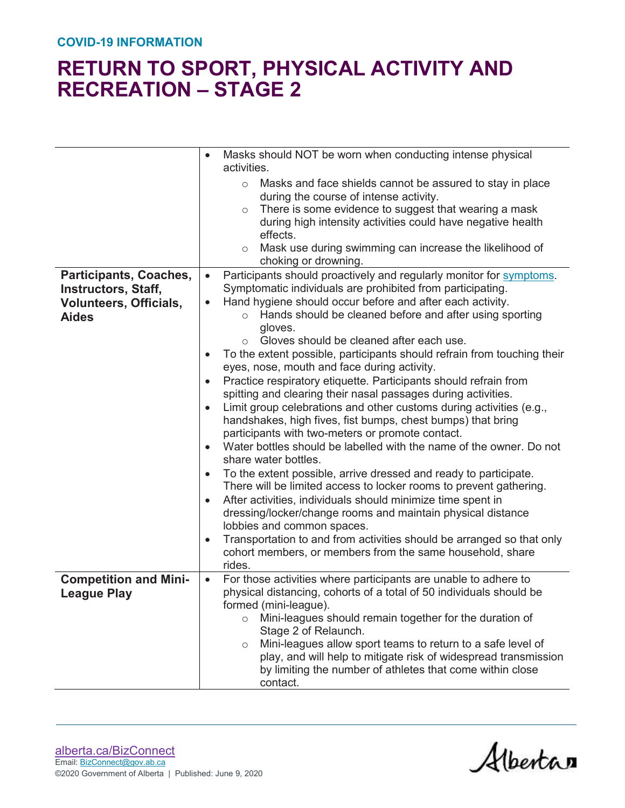|                               | Masks should NOT be worn when conducting intense physical<br>$\bullet$<br>activities.                                                                                                                                                                                                                                                                       |
|-------------------------------|-------------------------------------------------------------------------------------------------------------------------------------------------------------------------------------------------------------------------------------------------------------------------------------------------------------------------------------------------------------|
|                               | Masks and face shields cannot be assured to stay in place<br>$\circ$<br>during the course of intense activity.<br>There is some evidence to suggest that wearing a mask<br>$\circ$<br>during high intensity activities could have negative health<br>effects.<br>Mask use during swimming can increase the likelihood of<br>$\circ$<br>choking or drowning. |
| Participants, Coaches,        | Participants should proactively and regularly monitor for symptoms.<br>$\bullet$                                                                                                                                                                                                                                                                            |
| <b>Instructors, Staff,</b>    | Symptomatic individuals are prohibited from participating.                                                                                                                                                                                                                                                                                                  |
| <b>Volunteers, Officials,</b> | Hand hygiene should occur before and after each activity.<br>$\bullet$                                                                                                                                                                                                                                                                                      |
| <b>Aides</b>                  | o Hands should be cleaned before and after using sporting<br>gloves.                                                                                                                                                                                                                                                                                        |
|                               | Gloves should be cleaned after each use.<br>$\bigcirc$                                                                                                                                                                                                                                                                                                      |
|                               | To the extent possible, participants should refrain from touching their<br>$\bullet$                                                                                                                                                                                                                                                                        |
|                               | eyes, nose, mouth and face during activity.                                                                                                                                                                                                                                                                                                                 |
|                               | Practice respiratory etiquette. Participants should refrain from<br>$\bullet$                                                                                                                                                                                                                                                                               |
|                               | spitting and clearing their nasal passages during activities.                                                                                                                                                                                                                                                                                               |
|                               | Limit group celebrations and other customs during activities (e.g.,<br>$\bullet$<br>handshakes, high fives, fist bumps, chest bumps) that bring<br>participants with two-meters or promote contact.                                                                                                                                                         |
|                               | Water bottles should be labelled with the name of the owner. Do not<br>$\bullet$<br>share water bottles.                                                                                                                                                                                                                                                    |
|                               | To the extent possible, arrive dressed and ready to participate.<br>$\bullet$                                                                                                                                                                                                                                                                               |
|                               | There will be limited access to locker rooms to prevent gathering.                                                                                                                                                                                                                                                                                          |
|                               | After activities, individuals should minimize time spent in<br>$\bullet$                                                                                                                                                                                                                                                                                    |
|                               | dressing/locker/change rooms and maintain physical distance<br>lobbies and common spaces.                                                                                                                                                                                                                                                                   |
|                               | Transportation to and from activities should be arranged so that only<br>$\bullet$                                                                                                                                                                                                                                                                          |
|                               | cohort members, or members from the same household, share                                                                                                                                                                                                                                                                                                   |
|                               | rides.                                                                                                                                                                                                                                                                                                                                                      |
| <b>Competition and Mini-</b>  | For those activities where participants are unable to adhere to<br>$\bullet$                                                                                                                                                                                                                                                                                |
| <b>League Play</b>            | physical distancing, cohorts of a total of 50 individuals should be<br>formed (mini-league).                                                                                                                                                                                                                                                                |
|                               | Mini-leagues should remain together for the duration of<br>$\circ$                                                                                                                                                                                                                                                                                          |
|                               | Stage 2 of Relaunch.                                                                                                                                                                                                                                                                                                                                        |
|                               | Mini-leagues allow sport teams to return to a safe level of<br>$\circ$                                                                                                                                                                                                                                                                                      |
|                               | play, and will help to mitigate risk of widespread transmission                                                                                                                                                                                                                                                                                             |
|                               | by limiting the number of athletes that come within close                                                                                                                                                                                                                                                                                                   |
|                               | contact.                                                                                                                                                                                                                                                                                                                                                    |

Albertan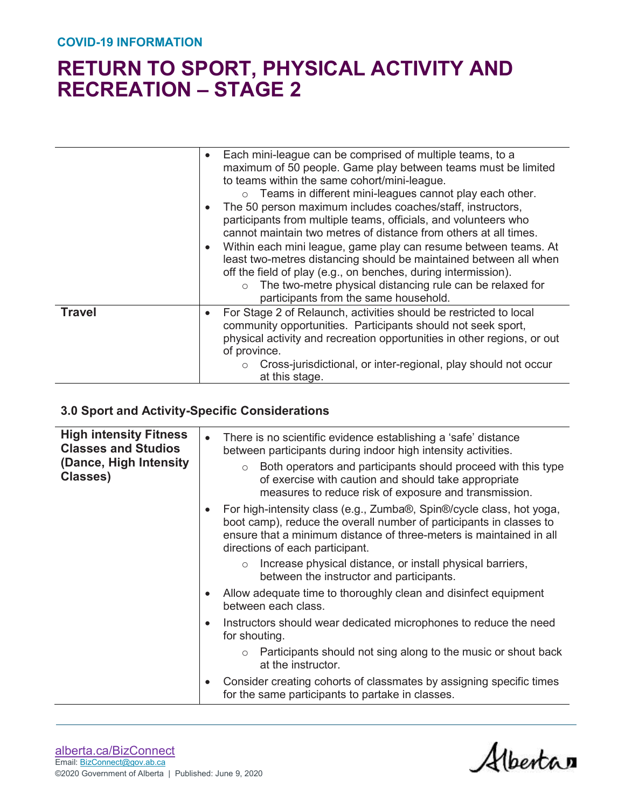|               | Each mini-league can be comprised of multiple teams, to a<br>$\bullet$<br>maximum of 50 people. Game play between teams must be limited<br>to teams within the same cohort/mini-league.<br>$\circ$ Teams in different mini-leagues cannot play each other.<br>The 50 person maximum includes coaches/staff, instructors,<br>$\bullet$<br>participants from multiple teams, officials, and volunteers who<br>cannot maintain two metres of distance from others at all times.<br>Within each mini league, game play can resume between teams. At<br>$\bullet$<br>least two-metres distancing should be maintained between all when<br>off the field of play (e.g., on benches, during intermission).<br>The two-metre physical distancing rule can be relaxed for<br>$\circ$<br>participants from the same household. |
|---------------|----------------------------------------------------------------------------------------------------------------------------------------------------------------------------------------------------------------------------------------------------------------------------------------------------------------------------------------------------------------------------------------------------------------------------------------------------------------------------------------------------------------------------------------------------------------------------------------------------------------------------------------------------------------------------------------------------------------------------------------------------------------------------------------------------------------------|
| <b>Travel</b> | For Stage 2 of Relaunch, activities should be restricted to local<br>$\bullet$<br>community opportunities. Participants should not seek sport,<br>physical activity and recreation opportunities in other regions, or out<br>of province.<br>Cross-jurisdictional, or inter-regional, play should not occur<br>$\circ$<br>at this stage.                                                                                                                                                                                                                                                                                                                                                                                                                                                                             |

### **3.0 Sport and Activity-Specific Considerations**

| <b>High intensity Fitness</b><br><b>Classes and Studios</b><br>(Dance, High Intensity)<br>Classes) |           | There is no scientific evidence establishing a 'safe' distance<br>between participants during indoor high intensity activities.                                                                                                                       |
|----------------------------------------------------------------------------------------------------|-----------|-------------------------------------------------------------------------------------------------------------------------------------------------------------------------------------------------------------------------------------------------------|
|                                                                                                    |           | Both operators and participants should proceed with this type<br>$\circ$<br>of exercise with caution and should take appropriate<br>measures to reduce risk of exposure and transmission.                                                             |
|                                                                                                    |           | For high-intensity class (e.g., Zumba®, Spin®/cycle class, hot yoga,<br>boot camp), reduce the overall number of participants in classes to<br>ensure that a minimum distance of three-meters is maintained in all<br>directions of each participant. |
|                                                                                                    |           | Increase physical distance, or install physical barriers,<br>$\circ$<br>between the instructor and participants.                                                                                                                                      |
|                                                                                                    |           | Allow adequate time to thoroughly clean and disinfect equipment<br>between each class.                                                                                                                                                                |
|                                                                                                    | $\bullet$ | Instructors should wear dedicated microphones to reduce the need<br>for shouting.                                                                                                                                                                     |
|                                                                                                    |           | $\circ$ Participants should not sing along to the music or shout back<br>at the instructor.                                                                                                                                                           |
|                                                                                                    | $\bullet$ | Consider creating cohorts of classmates by assigning specific times<br>for the same participants to partake in classes.                                                                                                                               |
|                                                                                                    |           |                                                                                                                                                                                                                                                       |

Albertan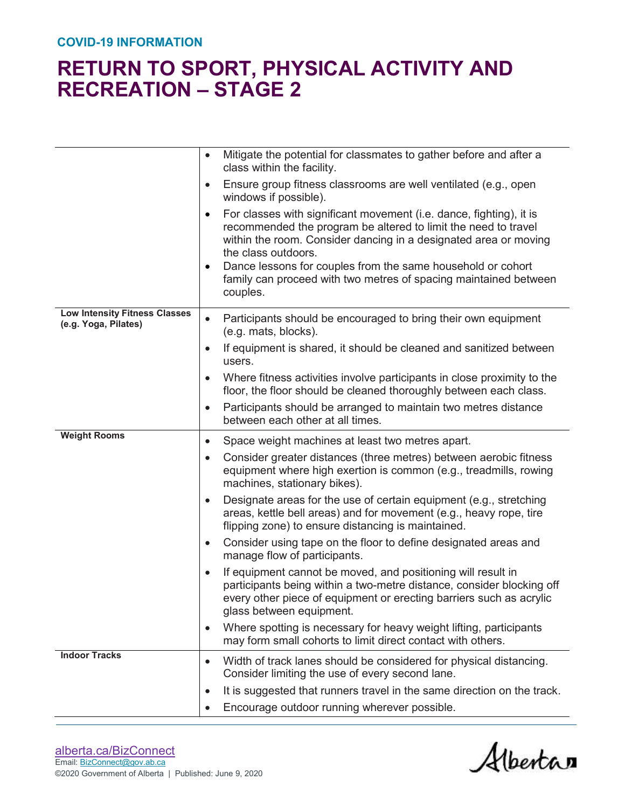|                                                              | Mitigate the potential for classmates to gather before and after a<br>$\bullet$<br>class within the facility.                                                                                                                                                                                                                                                                                     |
|--------------------------------------------------------------|---------------------------------------------------------------------------------------------------------------------------------------------------------------------------------------------------------------------------------------------------------------------------------------------------------------------------------------------------------------------------------------------------|
|                                                              | Ensure group fitness classrooms are well ventilated (e.g., open<br>$\bullet$<br>windows if possible).                                                                                                                                                                                                                                                                                             |
|                                                              | For classes with significant movement (i.e. dance, fighting), it is<br>$\bullet$<br>recommended the program be altered to limit the need to travel<br>within the room. Consider dancing in a designated area or moving<br>the class outdoors.<br>Dance lessons for couples from the same household or cohort<br>٠<br>family can proceed with two metres of spacing maintained between<br>couples. |
| <b>Low Intensity Fitness Classes</b><br>(e.g. Yoga, Pilates) | Participants should be encouraged to bring their own equipment<br>$\bullet$<br>(e.g. mats, blocks).                                                                                                                                                                                                                                                                                               |
|                                                              | If equipment is shared, it should be cleaned and sanitized between<br>$\bullet$<br>users.                                                                                                                                                                                                                                                                                                         |
|                                                              | Where fitness activities involve participants in close proximity to the<br>$\bullet$<br>floor, the floor should be cleaned thoroughly between each class.                                                                                                                                                                                                                                         |
|                                                              | Participants should be arranged to maintain two metres distance<br>$\bullet$<br>between each other at all times.                                                                                                                                                                                                                                                                                  |
|                                                              |                                                                                                                                                                                                                                                                                                                                                                                                   |
| <b>Weight Rooms</b>                                          | Space weight machines at least two metres apart.<br>$\bullet$                                                                                                                                                                                                                                                                                                                                     |
|                                                              | Consider greater distances (three metres) between aerobic fitness<br>$\bullet$<br>equipment where high exertion is common (e.g., treadmills, rowing<br>machines, stationary bikes).                                                                                                                                                                                                               |
|                                                              | Designate areas for the use of certain equipment (e.g., stretching<br>$\bullet$<br>areas, kettle bell areas) and for movement (e.g., heavy rope, tire<br>flipping zone) to ensure distancing is maintained.                                                                                                                                                                                       |
|                                                              | Consider using tape on the floor to define designated areas and<br>$\bullet$<br>manage flow of participants.                                                                                                                                                                                                                                                                                      |
|                                                              | If equipment cannot be moved, and positioning will result in<br>$\bullet$<br>participants being within a two-metre distance, consider blocking off<br>every other piece of equipment or erecting barriers such as acrylic<br>glass between equipment.                                                                                                                                             |
|                                                              | Where spotting is necessary for heavy weight lifting, participants<br>$\bullet$<br>may form small cohorts to limit direct contact with others.                                                                                                                                                                                                                                                    |
| <b>Indoor Tracks</b>                                         | Width of track lanes should be considered for physical distancing.<br>$\bullet$<br>Consider limiting the use of every second lane.                                                                                                                                                                                                                                                                |
|                                                              | It is suggested that runners travel in the same direction on the track.<br>$\bullet$                                                                                                                                                                                                                                                                                                              |

Alberta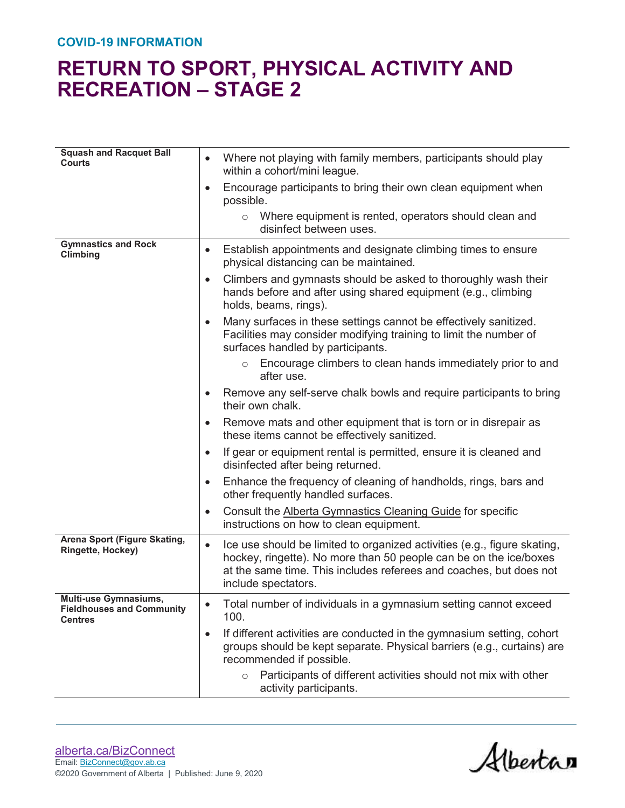#### **COVID-19 INFORMATION**

| <b>Squash and Racquet Ball</b><br><b>Courts</b>                                    | Where not playing with family members, participants should play<br>$\bullet$<br>within a cohort/mini league.                                                                                                                                            |
|------------------------------------------------------------------------------------|---------------------------------------------------------------------------------------------------------------------------------------------------------------------------------------------------------------------------------------------------------|
|                                                                                    | Encourage participants to bring their own clean equipment when<br>$\bullet$<br>possible.                                                                                                                                                                |
|                                                                                    | $\circ$ Where equipment is rented, operators should clean and<br>disinfect between uses.                                                                                                                                                                |
| <b>Gymnastics and Rock</b><br>Climbing                                             | Establish appointments and designate climbing times to ensure<br>$\bullet$<br>physical distancing can be maintained.                                                                                                                                    |
|                                                                                    | Climbers and gymnasts should be asked to thoroughly wash their<br>$\bullet$<br>hands before and after using shared equipment (e.g., climbing<br>holds, beams, rings).                                                                                   |
|                                                                                    | Many surfaces in these settings cannot be effectively sanitized.<br>$\bullet$<br>Facilities may consider modifying training to limit the number of<br>surfaces handled by participants.                                                                 |
|                                                                                    | $\circ$ Encourage climbers to clean hands immediately prior to and<br>after use.                                                                                                                                                                        |
|                                                                                    | Remove any self-serve chalk bowls and require participants to bring<br>$\bullet$<br>their own chalk.                                                                                                                                                    |
|                                                                                    | Remove mats and other equipment that is torn or in disrepair as<br>$\bullet$<br>these items cannot be effectively sanitized.                                                                                                                            |
|                                                                                    | If gear or equipment rental is permitted, ensure it is cleaned and<br>$\bullet$<br>disinfected after being returned.                                                                                                                                    |
|                                                                                    | Enhance the frequency of cleaning of handholds, rings, bars and<br>$\bullet$<br>other frequently handled surfaces.                                                                                                                                      |
|                                                                                    | Consult the Alberta Gymnastics Cleaning Guide for specific<br>$\bullet$<br>instructions on how to clean equipment.                                                                                                                                      |
| Arena Sport (Figure Skating,<br>Ringette, Hockey)                                  | Ice use should be limited to organized activities (e.g., figure skating,<br>$\bullet$<br>hockey, ringette). No more than 50 people can be on the ice/boxes<br>at the same time. This includes referees and coaches, but does not<br>include spectators. |
| <b>Multi-use Gymnasiums,</b><br><b>Fieldhouses and Community</b><br><b>Centres</b> | Total number of individuals in a gymnasium setting cannot exceed<br>100.                                                                                                                                                                                |
|                                                                                    | If different activities are conducted in the gymnasium setting, cohort<br>$\bullet$<br>groups should be kept separate. Physical barriers (e.g., curtains) are<br>recommended if possible.                                                               |
|                                                                                    | Participants of different activities should not mix with other<br>$\circ$<br>activity participants.                                                                                                                                                     |

Albertan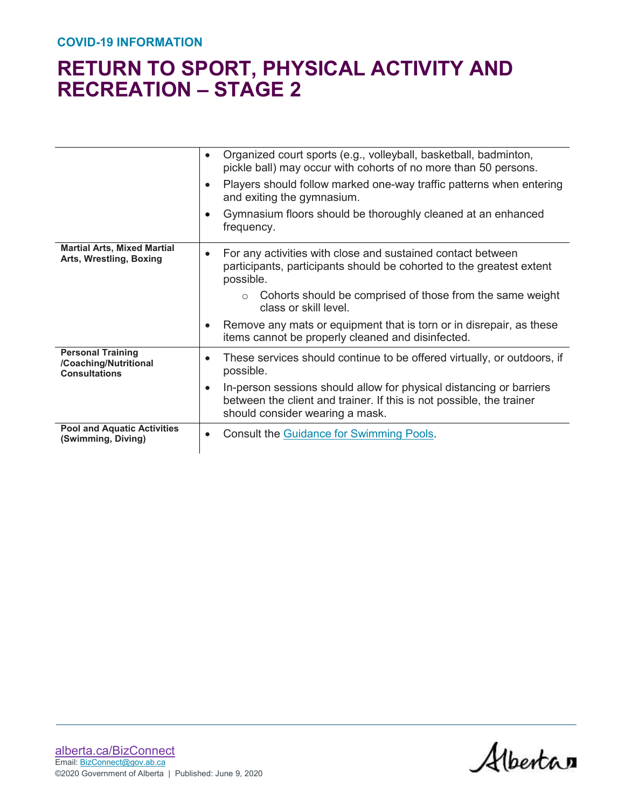|                                                                           | Organized court sports (e.g., volleyball, basketball, badminton,<br>$\bullet$<br>pickle ball) may occur with cohorts of no more than 50 persons.                                            |
|---------------------------------------------------------------------------|---------------------------------------------------------------------------------------------------------------------------------------------------------------------------------------------|
|                                                                           | Players should follow marked one-way traffic patterns when entering<br>$\bullet$<br>and exiting the gymnasium.                                                                              |
|                                                                           | Gymnasium floors should be thoroughly cleaned at an enhanced<br>frequency.                                                                                                                  |
| <b>Martial Arts, Mixed Martial</b><br>Arts, Wrestling, Boxing             | For any activities with close and sustained contact between<br>participants, participants should be cohorted to the greatest extent<br>possible.                                            |
|                                                                           | Cohorts should be comprised of those from the same weight<br>$\circ$<br>class or skill level.                                                                                               |
|                                                                           | Remove any mats or equipment that is torn or in disrepair, as these<br>items cannot be properly cleaned and disinfected.                                                                    |
| <b>Personal Training</b><br>/Coaching/Nutritional<br><b>Consultations</b> | These services should continue to be offered virtually, or outdoors, if<br>$\bullet$<br>possible.                                                                                           |
|                                                                           | In-person sessions should allow for physical distancing or barriers<br>$\bullet$<br>between the client and trainer. If this is not possible, the trainer<br>should consider wearing a mask. |
| <b>Pool and Aquatic Activities</b><br>(Swimming, Diving)                  | <b>Consult the Guidance for Swimming Pools.</b>                                                                                                                                             |